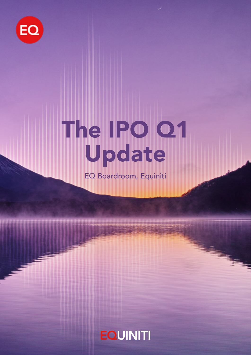

# The IPO Q1 Update

EQ Boardroom, Equiniti

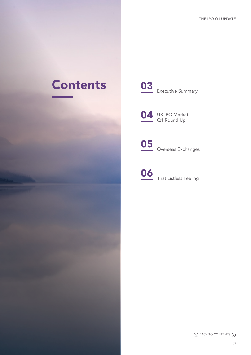## Contents





O5 Overseas Exchanges



◯ BACK TO CONTENTS ◯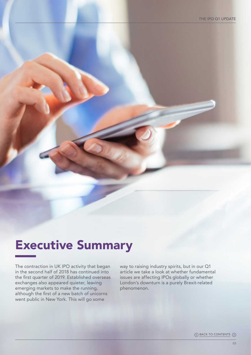### Executive Summary

The contraction in UK IPO activity that began in the second half of 2018 has continued into the first quarter of 2019. Established overseas exchanges also appeared quieter, leaving emerging markets to make the running, although the first of a new batch of unicorns went public in New York. This will go some

way to raising industry spirits, but in our Q1 article we take a look at whether fundamental issues are affecting IPOs globally or whether London's downturn is a purely Brexit-related phenomenon.

 $\Diamond$  BACK TO CONTENTS  $\Diamond$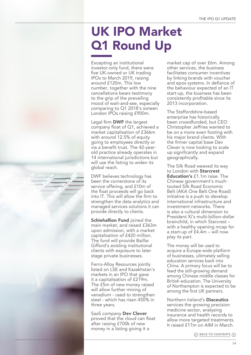# UK IPO Market Q1 Round Up

Excepting an institutional investor-only fund, there were five UK-owned or UK trading IPOs to March 2019, raising around £120m. This low number, together with the nine cancellations bears testimony to the grip of the prevailing mood of wait-and-see, especially comparing to Q1 2018's sixteen London IPOs raising £900m.

Legal firm DWF the largest company float of Q1, achieved a market capitalisation of £366m with around 12.5% of equity going to employees directly or via a benefit trust. The 42-yearold practice already operates in 14 international jurisdictions but will use the listing to widen its global reach.

DWF believes technology has been the cornerstone of its service offering, and £10m of the float proceeds will go back into IT. This will allow the firm to strengthen the data analytics and managed services solutions it can provide directly to clients.

**Schiehallion Fund joined the** main market, and raised £363m upon admission, with a market capitalisation of £420 million. The fund will provide Baillie Gifford's existing institutional clients with exposure to later stage private businesses.

Ferro-Alloy Resources jointly listed on LSE and Kazakhstan's markets in an IPO that gave it a capitalisation of £219m. The £5m of new money raised will allow further mining of vanadium - used to strengthen steel - which has risen 450% in three years.

SaaS company Dev Clever proved that the cloud can float after raising £700k of new money in a listing giving it a

market cap of over £6m. Among other services, the business facilitates consumer incentives by linking brands with voucher and epos systems. In defiance of the behaviour expected of an IT start-up, the business has been consistently profitable since its 2013 incorporation.

The Staffordshire-based enterprise has historically been crowdfunded, but CEO Christopher Jeffries wanted to be on a more even footing with his major brand clients. With the firmer capital base Dev Clever is now looking to scale up significantly and expand geographically.

The Silk Road weaved its way to London with Starcrest Education's £1.1m raise. The Chinese government's muchtouted Silk Road Economic Belt (AKA One Belt One Road) initiative is a push to develop international infrastructure and investment networks. There is also a cultural dimension to President Xi's multi-billion-dollar brainchild, in which Starcrest – with a healthy opening mcap for a start-up of £4.4m – will now play its part.

The money will be used to acquire a Europe-wide platform of businesses, ultimately selling education services back into China. A primary focus will be to feed the still-growing demand among Chinese middle classes for British education. The University of Northampton is expected to be among the first UK partners.

Northern Ireland's Diaceutics services the growing precision medicine sector, analysing insurance and health records to allow more targeted treatments. It raised £17m on AIM in March.

 $\Diamond$  BACK TO CONTENTS  $\Diamond$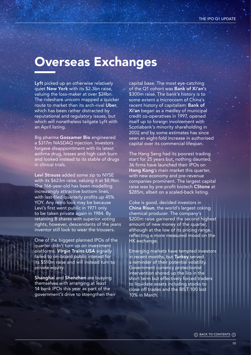#### Overseas Exchanges

Lyft picked up an otherwise relatively quiet New York with its \$2.3bn raise, valuing the loss-maker at over \$24bn. The rideshare unicorn mapped a quicker route to market than its arch-rival Uber. which has been rather distracted by reputational and regulatory issues, but which will nonetheless tailgate Lyft with an April listing.

Big pharma Gossamer Bio engineered a \$317m NASDAQ injection. Investors forgave disappointment with its latest asthma drug, losses and high cash burn and looked instead to its stable of drugs in clinical trials.

Levi Strauss added some zip to NYSE with its \$623m raise, valuing it at \$8.9bn. The 166-year-old has been modelling increasingly attractive bottom lines, with last-filed quarterly profits up 45% YOY. Any retro look may be because Levi's first went public in 1971 only to be taken private again in 1984. By retaining B shares with superior voting rights, however, descendants of the jeans inventor still look to wear the trousers.

One of the biggest planned IPOs of the quarter didn't turn up on investment platforms. Virgin Trains USA signally failed to on-board public interest for its \$510m raise and will instead turn to private equity.

Shanghai and Shenzhen are busying themselves with arranging at least 14 bank IPOs this year as part of the government's drive to strengthen their

capital base. The most eye-catching of the Q1 cohort was Bank of Xi'an's \$300m raise. The bank's history is to some extent a microcosm of China's recent history of capitalism: Bank of Xi'an began as a medley of municipal credit co-operatives in 1997, opened itself up to foreign involvement with Scotiabank's minority shareholding in 2002 and by some estimates has since seen an eight-fold increase in authorised capital over its commercial lifespan.

The Hang Seng had its poorest trading start for 25 years but, nothing daunted, 36 firms have launched their IPOs on Hong Kong's main market this quarter, with new economy and pre-revenue companies prominent. The largest capital raise was by pre-profit biotech CStone at \$285m, albeit on a scaled-back listing.

Coke is good, decided investors in China Risun, the world's largest coking chemical producer. The company's \$200m raise garnered the second highest amount of new money of the quarter, although at the low of its pricing range, reflecting a more measured mood on the HK exchange.

Emerging markets have tempted investors in recent months, but **Turkey** served a reminder of their potential volatility. Government currency protectionist intervention shored up the lira in the short term but effectively forced traders to liquidate assets including stocks to close off trades and the BIST 100 lost 10% in March.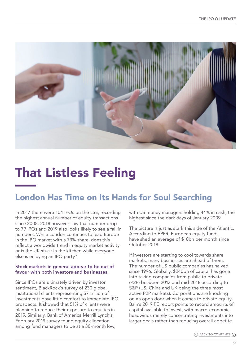

# That Listless Feeling

#### London Has Time on Its Hands for Soul Searching

In 2017 there were 104 IPOs on the LSE, recording the highest annual number of equity transactions since 2008. 2018 however saw that number drop to 79 IPOs and 2019 also looks likely to see a fall in numbers. While London continues to lead Europe in the IPO market with a 73% share, does this reflect a worldwide trend in equity market activity or is the UK stuck in the kitchen while everyone else is enjoying an IPO party?

#### Stock markets in general appear to be out of favour with both investors and businesses.

Since IPOs are ultimately driven by investor sentiment, BlackRock's survey of 230 global institutional clients representing \$7 trillion of investments gave little comfort to immediate IPO prospects. It showed that 51% of clients were planning to reduce their exposure to equities in 2019. Similarly, Bank of America Merrill Lynch's February 2019 survey found equity allocation among fund managers to be at a 30-month low,

with US money managers holding 44% in cash, the highest since the dark days of January 2009.

The picture is just as stark this side of the Atlantic. According to EPFR, European equity funds have shed an average of \$10bn per month since October 2018.

If investors are starting to cool towards share markets, many businesses are ahead of them. The number of US public companies has halved since 1996. Globally, \$240bn of capital has gone into taking companies from public to private (P2P) between 2013 and mid-2018 according to S&P (US, China and UK being the three most active P2P markets). Corporations are knocking on an open door when it comes to private equity. Bain's 2019 PE report points to record amounts of capital available to invest, with macro-economic headwinds merely concentrating investments into larger deals rather than reducing overall appetite.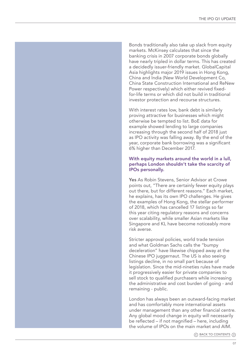Bonds traditionally also take up slack from equity markets. McKinsey calculates that since the banking crisis in 2007 corporate bonds globally have nearly tripled in dollar terms. This has created a decidedly issuer-friendly market. GlobalCapital Asia highlights major 2019 issues in Hong Kong, China and India (New World Development Co, China State Construction International and ReNew Power respectively) which either revived fixedfor-life terms or which did not build in traditional investor protection and recourse structures.

With interest rates low, bank debt is similarly proving attractive for businesses which might otherwise be tempted to list. BoE data for example showed lending to large companies increasing through the second half of 2018 just as IPO activity was falling away. By the end of the year, corporate bank borrowing was a significant 6% higher than December 2017.

#### With equity markets around the world in a lull, perhaps London shouldn't take the scarcity of IPOs personally.

Yes As Robin Stevens, Senior Advisor at Crowe points out, "There are certainly fewer equity plays out there, but for different reasons." Each market, he explains, has its own IPO challenges. He gives the examples of Hong Kong, the stellar performer of 2018, which has cancelled 17 listings so far this year citing regulatory reasons and concerns over scalability, while smaller Asian markets like Singapore and KL have become noticeably more risk averse.

Stricter approval policies, world trade tension and what Goldman Sachs calls the "bumpy deceleration" have likewise chipped away at the Chinese IPO juggernaut. The US is also seeing listings decline, in no small part because of legislation. Since the mid-nineties rules have made it progressively easier for private companies to sell stock to qualified purchasers while increasing the administrative and cost burden of going - and remaining - public.

London has always been an outward-facing market and has comfortably more international assets under management than any other financial centre. Any global mood change in equity will necessarily be reflected – if not magnified – here, including the volume of IPOs on the main market and AIM.

 $\Diamond$  BACK TO CONTENTS  $\Diamond$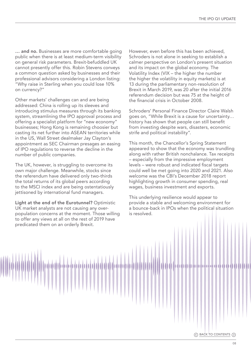... and no. Businesses are more comfortable going public when there is at least medium-term visibility on general risk parameters. Brexit-befuddled UK cannot presently offer this. Robin Stevens conveys a common question asked by businesses and their professional advisors considering a London listing: "Why raise in Sterling when you could lose 10% on currency?"

Other markets' challenges can and are being addressed: China is rolling up its sleeves and introducing stimulus measures through its banking system, streamlining the IPO approval process and offering a specialist platform for "new economy" businesses; Hong Kong is remaining choosier but casting its net further into ASEAN territories while in the US, Wall Street dealmaker Jay Clayton's appointment as SEC Chairman presages an easing of IPO regulations to reverse the decline in the number of public companies.

The UK, however, is struggling to overcome its own major challenge. Meanwhile, stocks since the referendum have delivered only two-thirds the total returns of its global peers according to the MSCI index and are being ostentatiously jettisoned by international fund managers.

Light at the end of the Eurotunnel? Optimistic UK market analysts are not causing any overpopulation concerns at the moment. Those willing to offer any views at all on the rest of 2019 have predicated them on an orderly Brexit.

However, even before this has been achieved, Schroders is not alone in seeking to establish a calmer perspective on London's present situation and its impact on the global economy. The Volatility Index (VIX – the higher the number the higher the volatility in equity markets) is at 13 during the parliamentary non-resolution of Brexit in March 2019, was 20 after the initial 2016 referendum decision but was 75 at the height of the financial crisis in October 2008.

Schroders' Personal Finance Director Claire Walsh goes on, "While Brexit is a cause for uncertainty… history has shown that people can still benefit from investing despite wars, disasters, economic strife and political instability".

This month, the Chancellor's Spring Statement appeared to show that the economy was trundling along with rather British nonchalance. Tax receipts – especially from the impressive employment levels – were robust and indicated fiscal targets could well be met going into 2020 and 2021. Also welcome was the CBI's December 2018 report highlighting growth in consumer spending, real wages, business investment and exports.

This underlying resilience would appear to provide a stable and welcoming environment for a bounce-back in IPOs when the political situation is resolved.

◯ BACK TO CONTENTS ①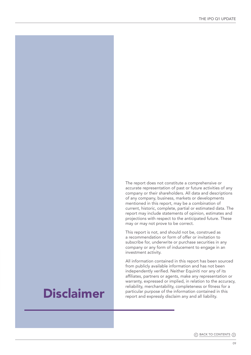The report does not constitute a comprehensive or accurate representation of past or future activities of any company or their shareholders. All data and descriptions of any company, business, markets or developments mentioned in this report, may be a combination of current, historic, complete, partial or estimated data. The report may include statements of opinion, estimates and projections with respect to the anticipated future. These may or may not prove to be correct.

This report is not, and should not be, construed as a recommendation or form of offer or invitation to subscribe for, underwrite or purchase securities in any company or any form of inducement to engage in an investment activity.

All information contained in this report has been sourced from publicly available information and has not been independently verified. Neither Equiniti nor any of its affiliates, partners or agents, make any representation or warranty, expressed or implied, in relation to the accuracy, reliability, merchantability, completeness or fitness for a particular purpose of the information contained in this report and expressly disclaim any and all liability.

### Disclaimer